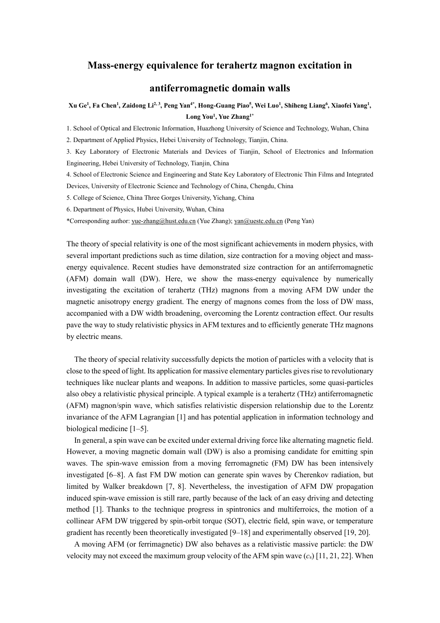### **Mass-energy equivalence for terahertz magnon excitation in**

## **antiferromagnetic domain walls**

# **Xu Ge1, Fa Chen1, Zaidong Li2, 3, Peng Yan4\*, Hong-Guang Piao5, Wei Luo1, Shiheng Liang6, Xiaofei Yang1, Long You1 , Yue Zhang1\***

1. School of Optical and Electronic Information, Huazhong University of Science and Technology, Wuhan, China

2. Department of Applied Physics, Hebei University of Technology, Tianjin, China.

3. Key Laboratory of Electronic Materials and Devices of Tianjin, School of Electronics and Information Engineering, Hebei University of Technology, Tianjin, China

4. School of Electronic Science and Engineering and State Key Laboratory of Electronic Thin Films and Integrated Devices, University of Electronic Science and Technology of China, Chengdu, China

5. College of Science, China Three Gorges University, Yichang, China

6. Department of Physics, Hubei University, Wuhan, China

\*Corresponding author: [yue-zhang@hust.edu.cn](mailto:yue-zhang@hust.edu.cn) (Yue Zhang); [yan@uestc.edu.cn](mailto:yan@uestc.edu.cn) (Peng Yan)

The theory of special relativity is one of the most significant achievements in modern physics, with several important predictions such as time dilation, size contraction for a moving object and massenergy equivalence. Recent studies have demonstrated size contraction for an antiferromagnetic (AFM) domain wall (DW). Here, we show the mass-energy equivalence by numerically investigating the excitation of terahertz (THz) magnons from a moving AFM DW under the magnetic anisotropy energy gradient. The energy of magnons comes from the loss of DW mass, accompanied with a DW width broadening, overcoming the Lorentz contraction effect. Our results pave the way to study relativistic physics in AFM textures and to efficiently generate THz magnons by electric means.

The theory of special relativity successfully depicts the motion of particles with a velocity that is close to the speed of light. Its application for massive elementary particles gives rise to revolutionary techniques like nuclear plants and weapons. In addition to massive particles, some quasi-particles also obey a relativistic physical principle. A typical example is a terahertz (THz) antiferromagnetic (AFM) magnon/spin wave, which satisfies relativistic dispersion relationship due to the Lorentz invariance of the AFM Lagrangian [1] and has potential application in information technology and biological medicine [1–5].

In general, a spin wave can be excited under external driving force like alternating magnetic field. However, a moving magnetic domain wall (DW) is also a promising candidate for emitting spin waves. The spin-wave emission from a moving ferromagnetic (FM) DW has been intensively investigated [6–8]. A fast FM DW motion can generate spin waves by Cherenkov radiation, but limited by Walker breakdown [7, 8]. Nevertheless, the investigation of AFM DW propagation induced spin-wave emission is still rare, partly because of the lack of an easy driving and detecting method [1]. Thanks to the technique progress in spintronics and multiferroics, the motion of a collinear AFM DW triggered by spin-orbit torque (SOT), electric field, spin wave, or temperature gradient has recently been theoretically investigated [9–18] and experimentally observed [19, 20].

A moving AFM (or ferrimagnetic) DW also behaves as a relativistic massive particle: the DW velocity may not exceed the maximum group velocity of the AFM spin wave  $(c<sub>s</sub>)$  [11, 21, 22]. When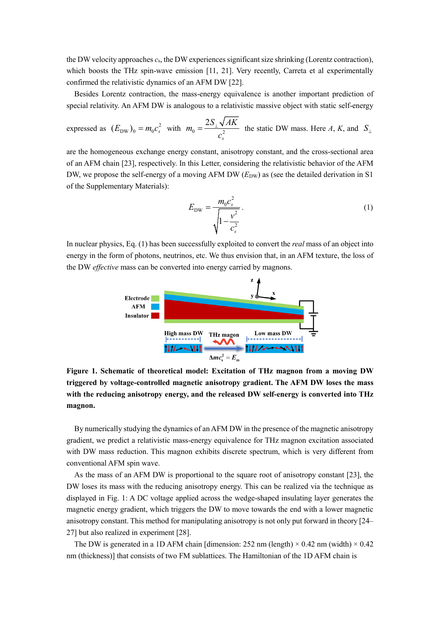the DW velocity approaches *c*s, the DW experiences significant size shrinking (Lorentz contraction), which boosts the THz spin-wave emission [11, 21]. Very recently, Carreta et al experimentally confirmed the relativistic dynamics of an AFM DW [22].

Besides Lorentz contraction, the mass-energy equivalence is another important prediction of special relativity. An AFM DW is analogous to a relativistic massive object with static self-energy

expressed as 
$$
(E_{DW})_0 = m_0 c_s^2
$$
 with  $m_0 = \frac{2S_\perp \sqrt{AK}}{c_s^2}$  the static DW mass. Here *A*, *K*, and  $S_\perp$ 

are the homogeneous exchange energy constant, anisotropy constant, and the cross-sectional area of an AFM chain [23], respectively. In this Letter, considering the relativistic behavior of the AFM DW, we propose the self-energy of a moving AFM DW ( $E_{DW}$ ) as (see the detailed derivation in S1 of the Supplementary Materials):

$$
E_{\rm DW} = \frac{m_0 c_s^2}{\sqrt{1 - \frac{v^2}{c_s^2}}}.
$$
 (1)

In nuclear physics, Eq. (1) has been successfully exploited to convert the *real* mass of an object into energy in the form of photons, neutrinos, etc. We thus envision that, in an AFM texture, the loss of the DW *effective* mass can be converted into energy carried by magnons.



**Figure 1. Schematic of theoretical model: Excitation of THz magnon from a moving DW triggered by voltage-controlled magnetic anisotropy gradient. The AFM DW loses the mass with the reducing anisotropy energy, and the released DW self-energy is converted into THz magnon.** 

By numerically studying the dynamics of an AFM DW in the presence of the magnetic anisotropy gradient, we predict a relativistic mass-energy equivalence for THz magnon excitation associated with DW mass reduction. This magnon exhibits discrete spectrum, which is very different from conventional AFM spin wave.

As the mass of an AFM DW is proportional to the square root of anisotropy constant [23], the DW loses its mass with the reducing anisotropy energy. This can be realized via the technique as displayed in Fig. 1: A DC voltage applied across the wedge-shaped insulating layer generates the magnetic energy gradient, which triggers the DW to move towards the end with a lower magnetic anisotropy constant. This method for manipulating anisotropy is not only put forward in theory [24– 27] but also realized in experiment [28].

The DW is generated in a 1D AFM chain [dimension: 252 nm (length)  $\times$  0.42 nm (width)  $\times$  0.42 nm (thickness)] that consists of two FM sublattices. The Hamiltonian of the 1D AFM chain is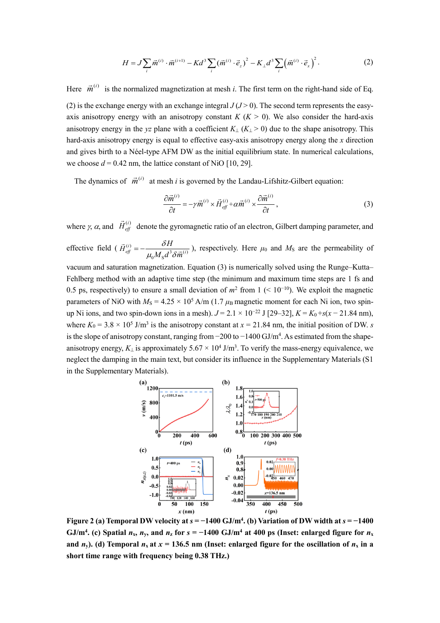$$
H = J \sum_{i} \vec{m}^{(i)} \cdot \vec{m}^{(i+1)} - K d^3 \sum_{i} (\vec{m}^{(i)} \cdot \vec{e}_z)^2 - K_{\perp} d^3 \sum_{i} (\vec{m}^{(i)} \cdot \vec{e}_x)^2.
$$
 (2)

Here  $\vec{m}^{(i)}$  is the normalized magnetization at mesh *i*. The first term on the right-hand side of Eq. (2) is the exchange energy with an exchange integral  $J(J>0)$ . The second term represents the easyaxis anisotropy energy with an anisotropy constant  $K$  ( $K > 0$ ). We also consider the hard-axis anisotropy energy in the *yz* plane with a coefficient  $K_1$  ( $K_1 > 0$ ) due to the shape anisotropy. This hard-axis anisotropy energy is equal to effective easy-axis anisotropy energy along the *x* direction and gives birth to a Néel-type AFM DW as the initial equilibrium state. In numerical calculations, we choose  $d = 0.42$  nm, the lattice constant of NiO [10, 29].

The dynamics of  $\vec{m}^{(i)}$  at mesh *i* is governed by the Landau-Lifshitz-Gilbert equation:

$$
\frac{\partial \vec{m}^{(i)}}{\partial t} = -\gamma \vec{m}^{(i)} \times \vec{H}_{\text{eff}}^{(i)} + \alpha \vec{m}^{(i)} \times \frac{\partial \vec{m}^{(i)}}{\partial t},\tag{3}
$$

where  $\gamma$ ,  $\alpha$ , and  $\vec{H}_{\text{eff}}^{(i)}$  denote the gyromagnetic ratio of an electron, Gilbert damping parameter, and effective field ( $\vec{H}_{\text{eff}}^{(i)} = -\frac{\partial H}{\mu_0 M_s d^3 \delta \vec{m}^{(i)}}$  $\vec{H}_{\text{eff}}^{(i)} = -\frac{\delta H}{\mu M d^3 \hat{s} \vec{m}^{(i)}}$  $M_{\rm s}$ d $^3 \delta \vec{m}$  $\vec{H}_{\text{eff}}^{(i)} = -\frac{\delta H}{\mu_0 M_s d^3 \delta \vec{m}^{(i)}}$ ), respectively. Here  $\mu_0$  and  $M_s$  are the permeability of vacuum and saturation magnetization. Equation (3) is numerically solved using the Runge–Kutta– Fehlberg method with an adaptive time step (the minimum and maximum time steps are 1 fs and 0.5 ps, respectively) to ensure a small deviation of *m*<sup>2</sup> from 1 (< 10<sup>−</sup>10). We exploit the magnetic parameters of NiO with  $M_s = 4.25 \times 10^5$  A/m (1.7  $\mu_B$  magnetic moment for each Ni ion, two spinup Ni ions, and two spin-down ions in a mesh).  $J = 2.1 \times 10^{-22}$  J [29–32],  $K = K_0 + s(x - 21.84$  nm), where  $K_0 = 3.8 \times 10^5$  J/m<sup>3</sup> is the anisotropy constant at  $x = 21.84$  nm, the initial position of DW. *s* is the slope of anisotropy constant, ranging from −200 to −1400 GJ/m4. As estimated from the shapeanisotropy energy,  $K_{\perp}$  is approximately 5.67  $\times$  10<sup>4</sup> J/m<sup>3</sup>. To verify the mass-energy equivalence, we neglect the damping in the main text, but consider its influence in the Supplementary Materials (S1 in the Supplementary Materials).



**Figure 2 (a) Temporal DW velocity at**  $s = -1400$  **GJ/m<sup>4</sup>. (b) Variation of DW width at**  $s = -1400$ GJ/m<sup>4</sup>. (c) Spatial  $n_x$ ,  $n_y$ , and  $n_z$  for  $s = -1400$  GJ/m<sup>4</sup> at 400 ps (Inset: enlarged figure for  $n_x$ **and** *n*<sub>y</sub>). (d) Temporal  $n_x$  at  $x = 136.5$  nm (Inset: enlarged figure for the oscillation of  $n_x$  in a **short time range with frequency being 0.38 THz.)**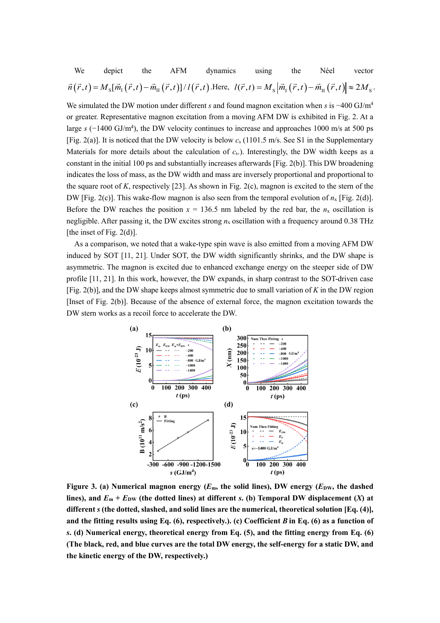We depict the AFM dynamics using the Néel vector  
\n
$$
\vec{n}(\vec{r},t) = M_{\rm s}[\vec{m}_{\rm l}(\vec{r},t) - \vec{m}_{\rm l}(\vec{r},t)] / l(\vec{r},t).
$$
Here,  $l(\vec{r},t) = M_{\rm s} |\vec{m}_{\rm l}(\vec{r},t) - \vec{m}_{\rm l}(\vec{r},t)| \approx 2M_{\rm s}.$ 

We simulated the DW motion under different *s* and found magnon excitation when *s* is −400 GJ/m4 or greater. Representative magnon excitation from a moving AFM DW is exhibited in Fig. 2. At a large *s* (−1400 GJ/m<sup>4</sup>), the DW velocity continues to increase and approaches 1000 m/s at 500 ps [Fig. 2(a)]. It is noticed that the DW velocity is below *c*<sup>s</sup> (1101.5 m/s. See S1 in the Supplementary Materials for more details about the calculation of *c*s.). Interestingly, the DW width keeps as a constant in the initial 100 ps and substantially increases afterwards [Fig. 2(b)]. This DW broadening indicates the loss of mass, as the DW width and mass are inversely proportional and proportional to the square root of  $K$ , respectively [23]. As shown in Fig. 2(c), magnon is excited to the stern of the DW [Fig. 2(c)]. This wake-flow magnon is also seen from the temporal evolution of *n*<sup>x</sup> [Fig. 2(d)]. Before the DW reaches the position  $x = 136.5$  nm labeled by the red bar, the  $n<sub>x</sub>$  oscillation is negligible. After passing it, the DW excites strong  $n_x$  oscillation with a frequency around 0.38 THz [the inset of Fig.  $2(d)$ ].

As a comparison, we noted that a wake-type spin wave is also emitted from a moving AFM DW induced by SOT [11, 21]. Under SOT, the DW width significantly shrinks, and the DW shape is asymmetric. The magnon is excited due to enhanced exchange energy on the steeper side of DW profile [11, 21]. In this work, however, the DW expands, in sharp contrast to the SOT-driven case [Fig. 2(b)], and the DW shape keeps almost symmetric due to small variation of *K* in the DW region [Inset of Fig. 2(b)]. Because of the absence of external force, the magnon excitation towards the DW stern works as a recoil force to accelerate the DW.



**Figure 3.** (a) Numerical magnon energy  $(E_m,$  the solid lines), DW energy  $(E_{DW},$  the dashed lines), and  $E_m + E_{DW}$  (the dotted lines) at different *s***.** (b) Temporal DW displacement (*X*) at **different** *s* **(the dotted, slashed, and solid lines are the numerical, theoretical solution [Eq. (4)], and the fitting results using Eq. (6), respectively.). (c) Coefficient** *B* **in Eq. (6) as a function of**  *s***. (d) Numerical energy, theoretical energy from Eq. (5), and the fitting energy from Eq. (6) (The black, red, and blue curves are the total DW energy, the self-energy for a static DW, and the kinetic energy of the DW, respectively.)**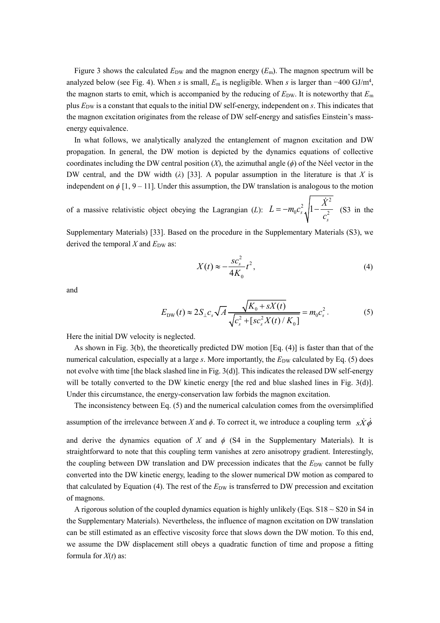Figure 3 shows the calculated  $E_{DW}$  and the magnon energy  $(E_m)$ . The magnon spectrum will be analyzed below (see Fig. 4). When *s* is small, *E*<sup>m</sup> is negligible. When *s* is larger than −400 GJ/m4, the magnon starts to emit, which is accompanied by the reducing of  $E_{\text{DW}}$ . It is noteworthy that  $E_{\text{m}}$ plus *E*DW is a constant that equals to the initial DW self-energy, independent on *s*. This indicates that the magnon excitation originates from the release of DW self-energy and satisfies Einstein's massenergy equivalence.

In what follows, we analytically analyzed the entanglement of magnon excitation and DW propagation. In general, the DW motion is depicted by the dynamics equations of collective coordinates including the DW central position  $(X)$ , the azimuthal angle  $(\phi)$  of the Néel vector in the DW central, and the DW width  $(\lambda)$  [33]. A popular assumption in the literature is that *X* is independent on  $\phi$  [1, 9 – 11]. Under this assumption, the DW translation is analogous to the motion

of a massive relativistic object obeying the Lagrangian (*L*):  $\int_0^2 c_s^2 \sqrt{1 - \frac{\dot{X}^2}{a^2}}$ *s*  $L = -m_0 c_s^2 \sqrt{1 - \frac{\dot{X}^2}{c_s^2}}$  (S3 in the

Supplementary Materials) [33]. Based on the procedure in the Supplementary Materials (S3), we derived the temporal  $X$  and  $E_{DW}$  as:

$$
X(t) \approx -\frac{sc_s^2}{4K_0}t^2,
$$
\t(4)

and

$$
E_{\text{DW}}(t) \approx 2S_{\perp} c_s \sqrt{A} \frac{\sqrt{K_0 + sX(t)}}{\sqrt{c_s^2 + [sc_s^2 X(t)/K_0]}} = m_0 c_s^2. \tag{5}
$$

Here the initial DW velocity is neglected.

As shown in Fig. 3(b), the theoretically predicted DW motion [Eq. (4)] is faster than that of the numerical calculation, especially at a large *s*. More importantly, the  $E_{\text{DW}}$  calculated by Eq. (5) does not evolve with time [the black slashed line in Fig. 3(d)]. This indicates the released DW self-energy will be totally converted to the DW kinetic energy [the red and blue slashed lines in Fig. 3(d)]. Under this circumstance, the energy-conservation law forbids the magnon excitation.

The inconsistency between Eq. (5) and the numerical calculation comes from the oversimplified assumption of the irrelevance between *X* and  $\phi$ . To correct it, we introduce a coupling term  $s\dot{x}\dot{\phi}$ 

and derive the dynamics equation of *X* and  $\phi$  (S4 in the Supplementary Materials). It is straightforward to note that this coupling term vanishes at zero anisotropy gradient. Interestingly, the coupling between DW translation and DW precession indicates that the  $E_{DW}$  cannot be fully converted into the DW kinetic energy, leading to the slower numerical DW motion as compared to that calculated by Equation (4). The rest of the  $E_{DW}$  is transferred to DW precession and excitation of magnons.

A rigorous solution of the coupled dynamics equation is highly unlikely (Eqs.  $S18 \sim S20$  in S4 in the Supplementary Materials). Nevertheless, the influence of magnon excitation on DW translation can be still estimated as an effective viscosity force that slows down the DW motion. To this end, we assume the DW displacement still obeys a quadratic function of time and propose a fitting formula for *X*(*t*) as: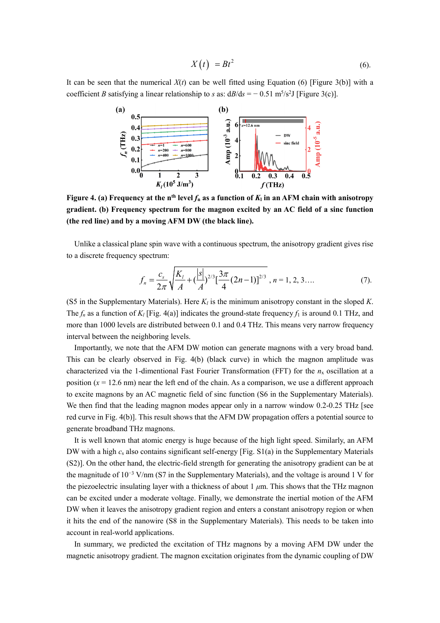$$
X(t) = Bt^2 \tag{6}.
$$

It can be seen that the numerical  $X(t)$  can be well fitted using Equation (6) [Figure 3(b)] with a coefficient *B* satisfying a linear relationship to *s* as:  $dB/ds = -0.51 \text{ m}^5/\text{s}^2$  [Figure 3(c)].



**Figure 4. (a) Frequency at the n<sup>th</sup> level**  $f_n$  **as a function of**  $K_l$  **in an AFM chain with anisotropy gradient. (b) Frequency spectrum for the magnon excited by an AC field of a sinc function (the red line) and by a moving AFM DW (the black line).**

Unlike a classical plane spin wave with a continuous spectrum, the anisotropy gradient gives rise to a discrete frequency spectrum:

$$
f_n = \frac{c_s}{2\pi} \sqrt{\frac{K_l}{A} + (\frac{|s|}{A})^{2/3} \left[\frac{3\pi}{4} (2n-1)\right]^{2/3}}, n = 1, 2, 3.... \tag{7}.
$$

(S5 in the Supplementary Materials). Here  $K_l$  is the minimum anisotropy constant in the sloped  $K$ . The  $f_n$  as a function of  $K_l$  [Fig. 4(a)] indicates the ground-state frequency  $f_1$  is around 0.1 THz, and more than 1000 levels are distributed between 0.1 and 0.4 THz. This means very narrow frequency interval between the neighboring levels.

Importantly, we note that the AFM DW motion can generate magnons with a very broad band. This can be clearly observed in Fig. 4(b) (black curve) in which the magnon amplitude was characterized via the 1-dimentional Fast Fourier Transformation (FFT) for the *n*<sup>x</sup> oscillation at a position  $(x = 12.6 \text{ nm})$  near the left end of the chain. As a comparison, we use a different approach to excite magnons by an AC magnetic field of sinc function (S6 in the Supplementary Materials). We then find that the leading magnon modes appear only in a narrow window 0.2-0.25 THz [see red curve in Fig. 4(b)]. This result shows that the AFM DW propagation offers a potential source to generate broadband THz magnons.

It is well known that atomic energy is huge because of the high light speed. Similarly, an AFM DW with a high  $c_s$  also contains significant self-energy [Fig. S1(a) in the Supplementary Materials (S2)]. On the other hand, the electric-field strength for generating the anisotropy gradient can be at the magnitude of 10<sup>−</sup><sup>3</sup> V/nm (S7 in the Supplementary Materials), and the voltage is around 1 V for the piezoelectric insulating layer with a thickness of about 1 *μ*m. This shows that the THz magnon can be excited under a moderate voltage. Finally, we demonstrate the inertial motion of the AFM DW when it leaves the anisotropy gradient region and enters a constant anisotropy region or when it hits the end of the nanowire (S8 in the Supplementary Materials). This needs to be taken into account in real-world applications.

In summary, we predicted the excitation of THz magnons by a moving AFM DW under the magnetic anisotropy gradient. The magnon excitation originates from the dynamic coupling of DW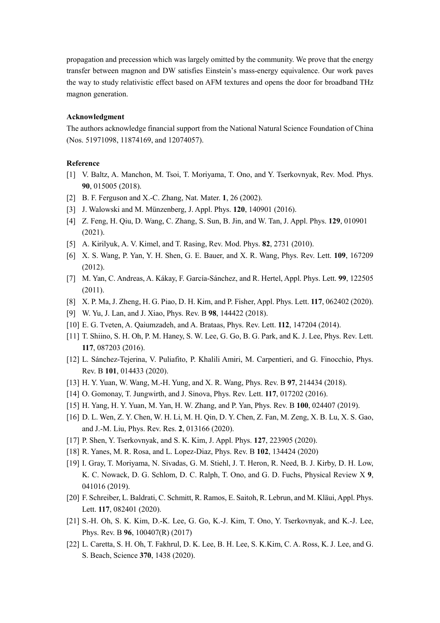propagation and precession which was largely omitted by the community. We prove that the energy transfer between magnon and DW satisfies Einstein's mass-energy equivalence. Our work paves the way to study relativistic effect based on AFM textures and opens the door for broadband THz magnon generation.

### **Acknowledgment**

The authors acknowledge financial support from the National Natural Science Foundation of China (Nos. 51971098, 11874169, and 12074057).

#### **Reference**

- [1] V. Baltz, A. Manchon, M. Tsoi, T. Moriyama, T. Ono, and Y. Tserkovnyak, Rev. Mod. Phys. **90**, 015005 (2018).
- [2] B. F. Ferguson and X.-C. Zhang, Nat. Mater. **1**, 26 (2002).
- [3] J. Walowski and M. Münzenberg, J. Appl. Phys. **120**, 140901 (2016).
- [4] Z. Feng, H. Qiu, D. Wang, C. Zhang, S. Sun, B. Jin, and W. Tan, J. Appl. Phys. **129**, 010901 (2021).
- [5] A. Kirilyuk, A. V. Kimel, and T. Rasing, Rev. Mod. Phys. **82**, 2731 (2010).
- [6] X. S. Wang, P. Yan, Y. H. Shen, G. E. Bauer, and X. R. Wang, Phys. Rev. Lett. **109**, 167209 (2012).
- [7] M. Yan, C. Andreas, A. Kákay, F. García-Sánchez, and R. Hertel, Appl. Phys. Lett. **99**, 122505 (2011).
- [8] X. P. Ma, J. Zheng, H. G. Piao, D. H. Kim, and P. Fisher, Appl. Phys. Lett. **117**, 062402 (2020).
- [9] W. Yu, J. Lan, and J. Xiao, Phys. Rev. B **98**, 144422 (2018).
- [10] E. G. Tveten, A. Qaiumzadeh, and A. Brataas, Phys. Rev. Lett. **112**, 147204 (2014).
- [11] T. Shiino, S. H. Oh, P. M. Haney, S. W. Lee, G. Go, B. G. Park, and K. J. Lee, Phys. Rev. Lett. **117**, 087203 (2016).
- [12] L. Sánchez-Tejerina, V. Puliafito, P. Khalili Amiri, M. Carpentieri, and G. Finocchio, Phys. Rev. B **101**, 014433 (2020).
- [13] H. Y. Yuan, W. Wang, M.-H. Yung, and X. R. Wang, Phys. Rev. B **97**, 214434 (2018).
- [14] O. Gomonay, T. Jungwirth, and J. Sinova, Phys. Rev. Lett. **117**, 017202 (2016).
- [15] H. Yang, H. Y. Yuan, M. Yan, H. W. Zhang, and P. Yan, Phys. Rev. B **100**, 024407 (2019).
- [16] D. L. Wen, Z. Y. Chen, W. H. Li, M. H. Qin, D. Y. Chen, Z. Fan, M. Zeng, X. B. Lu, X. S. Gao, and J.-M. Liu, Phys. Rev. Res. **2**, 013166 (2020).
- [17] P. Shen, Y. Tserkovnyak, and S. K. Kim, J. Appl. Phys. **127**, 223905 (2020).
- [18] R. Yanes, M. R. Rosa, and L. Lopez-Diaz, Phys. Rev. B **102**, 134424 (2020)
- [19] I. Gray, T. Moriyama, N. Sivadas, G. M. Stiehl, J. T. Heron, R. Need, B. J. Kirby, D. H. Low, K. C. Nowack, D. G. Schlom, D. C. Ralph, T. Ono, and G. D. Fuchs, Physical Review X **9**, 041016 (2019).
- [20] F. Schreiber, L. Baldrati, C. Schmitt, R. Ramos, E. Saitoh, R. Lebrun, and M. Kläui, Appl. Phys. Lett. **117**, 082401 (2020).
- [21] S.-H. Oh, S. K. Kim, D.-K. Lee, G. Go, K.-J. Kim, T. Ono, Y. Tserkovnyak, and K.-J. Lee, Phys. Rev. B **96**, 100407(R) (2017)
- [22] L. Caretta, S. H. Oh, T. Fakhrul, D. K. Lee, B. H. Lee, S. K.Kim, C. A. Ross, K. J. Lee, and G. S. Beach, Science **370**, 1438 (2020).